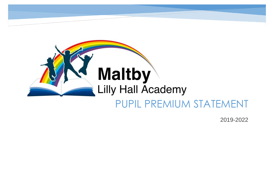

2019-2022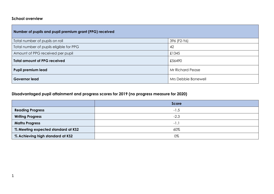#### **School overview**

| Number of pupils and pupil premium grant (PPG) received |                         |
|---------------------------------------------------------|-------------------------|
| Total number of pupils on roll                          | 396 (F2-Y6)             |
| Total number of pupils eligible for PPG                 | 42                      |
| Amount of PPG received per pupil                        | £1345                   |
| <b>Total amount of PPG received</b>                     | £56490                  |
| <b>Pupil premium lead</b>                               | <b>Mr Richard Pease</b> |
| <b>Governor lead</b>                                    | Mrs Debbie Bonewell     |

## **Disadvantaged pupil attainment and progress scores for 2019 (no progress measure for 2020)**

|                                    | <b>Score</b> |
|------------------------------------|--------------|
| <b>Reading Progress</b>            | $-1.5$       |
| <b>Writing Progress</b>            | $-2.3$       |
| <b>Maths Progress</b>              | $-1$ .       |
| % Meeting expected standard at KS2 | 60%          |
| % Achieving high standard at KS2   | 0%           |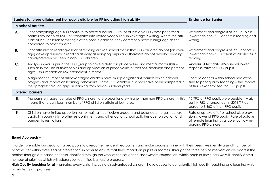|           | Barriers to future attainment (for pupils eligible for PP including high ability)                                                                                                                                                                                                                                                                | <b>Evidence for Barrier</b>                                                                                                                                       |
|-----------|--------------------------------------------------------------------------------------------------------------------------------------------------------------------------------------------------------------------------------------------------------------------------------------------------------------------------------------------------|-------------------------------------------------------------------------------------------------------------------------------------------------------------------|
|           | <b>In-school barriers</b>                                                                                                                                                                                                                                                                                                                        |                                                                                                                                                                   |
| А.        | Poor oracy/language skills continue to prove a barrier - Groups of less able PPG boys performed<br>particularly badly at KS1. This translates into limited vocabulary in key stage 2 writing, where the atti-<br>tude of PPG children to writing is often poor in addition, they commonly have a language deficit<br>compared to other children. | Attainment and progress of PPG pupils is<br>lower than non-PPG cohort in reading and<br>writing.                                                                  |
| <b>B.</b> | Poor attitudes to reading/a lack of reading outside school mean that PPG children do not (on aver-<br>age) develop fluency in reading as early as non-ppg pupils and therefore do not develop reading<br>habits/preferences seen in non-PPG children.                                                                                            | Attainment and progress of PPG cohort is<br>lower than non-PPG Cohort at all phases in<br>reading.                                                                |
| C.        | Analysis shows pupils in the PPG group to have a deficit in place value and mental maths skills -<br>such as in the use of times tables and application of place value in fractions, decimals and percent-<br>ages – this impacts on KS2 attainment in maths.                                                                                    | Analysis of test data (KS2) shows lower<br>response rates for PPG pupils.                                                                                         |
| D.        | A significant number of disadvantaged children have multiple significant barriers which hamper<br>progress and impact on learning behaviours. Some PPG children in school have been hampered in<br>their progress through gaps in learning from previous school years.                                                                           | Specific cohorts within school had expo-<br>sure to poor quality teaching - the impact<br>of this is exacerbated for PPG pupils                                   |
|           | <b>External barriers</b>                                                                                                                                                                                                                                                                                                                         |                                                                                                                                                                   |
| E.        | The persistent absence rates of PPG children are proportionately higher than non-PPG children - this<br>means that a significant number of PPG children attain at low rates.                                                                                                                                                                     | 15.79% of PPG pupils were persistently ab-<br>sent (<95% attendance) in 2018/19 com-<br>pared to 8.66% of non PPG pupils                                          |
| F.        | Children have limited opportunities to maintain curriculum breadth and balance or to gain cultural<br>capital through visits to other establishments and other out of school activities due to isolation and<br>pandemic restrictions.                                                                                                           | Rate of uptake of after school club provi-<br>sion is lower of PPG pupils. Rate of uptake<br>of remote learning is variable, but low re-<br>garding PPG children. |

#### **Tiered Approach –**

In order to enable our disadvantaged pupils to overcome the identified barriers and make progress in line with their peers, we identify a small number of priorities, set within three tiers of intervention, in order to ensure that they impact on pupil's outcomes. Through the three tiers of intervention we address the barriers through are based on those identified through the work of the Education Endowment Foundation. Within each of these tiers we will identify a small number of priorities which will address our identified barriers to progress:

High Quality teaching for all – ensuring every child, including disadvantaged children, have access to consistently high quality teaching and learning which promotes good progress.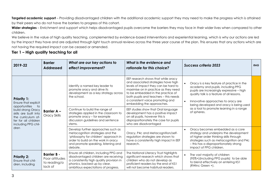**Targeted academic support** – Providing disadvantaged children with the additional academic support they may need to make the progress which is attained by their peers who do not have the barriers to progress of this cohort.

Wider strategies – Enrichment and support which helps disadvantaged pupils overcome the barriers they may face in their wider lives when compared to other children.

We believe in the value of high quality teaching, complemented by evidence-based interventions and experiential learning, which is why our actions are led by the impact they have and are adjusted through light touch annual reviews across the three year course of the plan. This ensures that any actions which are not having the required impact can be ceased or amended.

### **Tier 1 – High quality teaching for all**

| 2019-22                                                                                                                                                                                       | <b>Barrier</b><br><b>Addressed</b>                              | What are our key actions to<br>effect improvement?                                                                                                                                                       | What is the evidence and<br>rationale for this choice?                                                                                                                                                                                                                                                    | <b>Success criteria 2023</b>                                                                                                                                                                                                                              | <b>RAG</b> |
|-----------------------------------------------------------------------------------------------------------------------------------------------------------------------------------------------|-----------------------------------------------------------------|----------------------------------------------------------------------------------------------------------------------------------------------------------------------------------------------------------|-----------------------------------------------------------------------------------------------------------------------------------------------------------------------------------------------------------------------------------------------------------------------------------------------------------|-----------------------------------------------------------------------------------------------------------------------------------------------------------------------------------------------------------------------------------------------------------|------------|
| <b>Priority 1:</b><br>Ensure that explicit<br>opportunities<br>to<br>build strong Oracy<br>skills are built into<br>the curriculum of-<br>fer for all children<br>including PPG chil-<br>dren |                                                                 | Identify a named key leader to<br>promote oracy and drive its<br>development as a key strategy across<br>the school.                                                                                     | EEF research shows that while oracy<br>and associated strategies have high<br>levels of impact they can be hard to<br>maximise on in practice as they need<br>to be embedded in the practice of<br>both pupils and teachers - this needs<br>a consistent voice promoting and<br>embedding the approaches. | Oracy is a key feature of practice in the<br>academy and pupils, including PPG<br>pupils are increasingly expressive - high<br>quality talk is a feature of all lessons.<br>Innovative approaches to oracy are<br>being developed and oracy is being used |            |
|                                                                                                                                                                                               | <b>Barrier A -</b><br>Oracy Skills<br>stems.                    | Continue to build the range of<br>strategies applied in the classroom to<br>promote oracy - for example<br>discussion guidelines and sentence                                                            | EEF studies show that Oral language<br>development has a positive impact<br>on all pupils, however this is<br>disproportionately the case for pupils<br>who are disadvantaged                                                                                                                             | as a tool to promote learning in a range<br>of spheres.                                                                                                                                                                                                   |            |
|                                                                                                                                                                                               |                                                                 | Develop further approaches such as<br>metacognition strategies and the<br>'philosophy for children' approach in<br>order to build on the work in oracy<br>and promote speaking, listening and<br>debate. | Oracy, P4c and Metacognition/self-<br>regulation strategies are shown to<br>have a consistently high impact in EEF<br>research.                                                                                                                                                                           | Oracy becomes embedded as a core<br>strategy and underpins the development<br>of higher order thinking skills through<br>strategies such as metacognition and P4c<br>- this has a disproportionately strong<br>impact of PPG children.                    |            |
| <b>Priority 2:</b><br>Ensure that chil-<br>dren, including                                                                                                                                    | <b>Barrier B -</b><br>Poor attitudes<br>to reading/a<br>lack of | Ensure all children, including PPG and<br>disadvantaged children are receiving<br>a consistently high quality provision in<br>phonics, backed up by clear,<br>ambitious expectations of progress.        | The National Literacy Trust highlights<br>significant research which shows that<br>children who do not develop as<br>proficient readers by the end of KS1<br>will not become habitual readers.                                                                                                            | The vast majority of children<br>$\bullet$<br>(95%+) (including PPG pupils) to be able<br>to blend effectively on entering KS1<br>(RWinc Green +).                                                                                                        |            |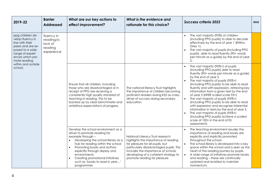| 2019-22                                                                                                                                                                                  | <b>Barrier</b><br><b>Addressed</b>                          | What are our key actions to<br>effect improvement?                                                                                                                                                                                                                 | What is the evidence and<br>rationale for this choice?                                                                                                                                                                                                                                                                                                  | <b>Success criteria 2023</b>                                                                                                                                                                                                                                                                                                                                                                                                                                                                                                                                                                                                                                                                       | <b>RAG</b>                                                                                                                                                                                                                                                                                                                                                                                                                                        |
|------------------------------------------------------------------------------------------------------------------------------------------------------------------------------------------|-------------------------------------------------------------|--------------------------------------------------------------------------------------------------------------------------------------------------------------------------------------------------------------------------------------------------------------------|---------------------------------------------------------------------------------------------------------------------------------------------------------------------------------------------------------------------------------------------------------------------------------------------------------------------------------------------------------|----------------------------------------------------------------------------------------------------------------------------------------------------------------------------------------------------------------------------------------------------------------------------------------------------------------------------------------------------------------------------------------------------------------------------------------------------------------------------------------------------------------------------------------------------------------------------------------------------------------------------------------------------------------------------------------------------|---------------------------------------------------------------------------------------------------------------------------------------------------------------------------------------------------------------------------------------------------------------------------------------------------------------------------------------------------------------------------------------------------------------------------------------------------|
| ppg children de-<br>velop fluency in<br>line with their<br>peers and are ex-<br>posed to a wide<br>range of experi-<br>ences which pro-<br>mote reading<br>within and outside<br>school. | fluency in<br>reading/a<br>lack of<br>reading<br>experience |                                                                                                                                                                                                                                                                    |                                                                                                                                                                                                                                                                                                                                                         | The vast majority (95%) of children<br>(including PPG pupils) to able to decode<br>effectively by the end of year 1 (RWInc<br>$Grey +$ ).<br>The vast majority of pupils (including PPG<br>pupils) able to read fluently (90+ words<br>per minute as a guide) by the end of year<br>2.                                                                                                                                                                                                                                                                                                                                                                                                             |                                                                                                                                                                                                                                                                                                                                                                                                                                                   |
|                                                                                                                                                                                          |                                                             | Ensure that all children, including<br>those who are disadvantaged or in<br>receipt of PPG are receiving a<br>consistently high quality standard of<br>teaching in reading. This to be<br>backed up by clear benchmarks and<br>ambitious expectations of progress. | The national literacy Trust highlights<br>the importance of children becoming<br>proficient readers during KS2 as a key<br>driver of success during secondary<br>education.                                                                                                                                                                             | The vast majority (95%+) of pupils<br>(including PPG pupils) able to read<br>fluently (90+ words per minute as a guide)<br>by the end of year 2.<br>The vast majority of pupils (95%+)<br>(including PPG pupils) to be able to read<br>fluently and with expression, retrieving key<br>information from a given text by the end<br>of year 3 (NFER scaled score 95+)<br>The vast majority of pupils (95%+)<br>$\bullet$<br>(including PPG pupils) to be able to read<br>with expression and recognise inferential<br>information in texts by the end of year 5.<br>The vast majority of pupils (95%+)<br>(including PPG pupils) achieve a scaled<br>score of 100+ in the end of KS<br>assessments. |                                                                                                                                                                                                                                                                                                                                                                                                                                                   |
|                                                                                                                                                                                          |                                                             |                                                                                                                                                                                                                                                                    | Develop the school environment as a<br>driver to promote reading for<br>example through -<br>Developing the school library as a<br>hub for reading within the school<br>Promoting books and authors<br>$\bullet$<br>explicitly through display and<br>environments<br>Creating promotional initiatives<br>such as 'books to read in year'<br>programmes | National Literacy Trust research<br>highlights the importance of reading<br>for pleasure for all pupils, but<br>particularly disadvantaged pupils. This<br>includes the importance of schools<br>developing of a coherent strategy to<br>promote reading for pleasure.                                                                                                                                                                                                                                                                                                                                                                                                                             | The teaching environment exudes the<br>importance of reading and books are<br>explicitly and implicitly promoted<br>throughout the school.<br>The school library is developed into a key<br>$\bullet$<br>space within the school and is seen as the<br>heart of the reading journey by pupils.<br>A wide range of initiatives promote books<br>$\bullet$<br>and reading - these are continually<br>updated and revisited to maintain<br>momentum. |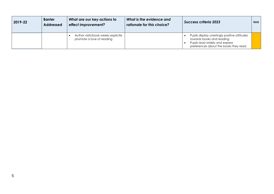| 2019-22 | <b>Barrier</b><br><b>Addressed</b> | What are our key actions to<br>effect improvement?               | What is the evidence and<br>rationale for this choice? | <b>Success criteria 2023</b>                                                                                                                          | RAG |
|---------|------------------------------------|------------------------------------------------------------------|--------------------------------------------------------|-------------------------------------------------------------------------------------------------------------------------------------------------------|-----|
|         |                                    | Author visits/book weeks explicitly<br>promote a love of reading |                                                        | Pupils display unerringly positive attitudes<br>towards books and reading<br>Pupils read widely and express<br>preferences about the books they read. |     |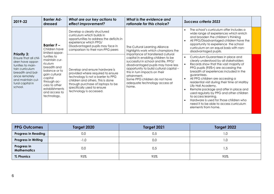| 2019-22                                                                                                                                                                                          | <b>Barrier Ad-</b><br>dressed                                                                                                                                                         | What are our key actions to<br>effect improvement?                                                                                                                                                                                            | What is the evidence and<br>rationale for this choice?                                                                                                                                                                                                                                                                      | <b>Success criteria 2023</b>                                                                                                                                                                                                                                                                                                                                                                                                                                                                                                                                             |  |
|--------------------------------------------------------------------------------------------------------------------------------------------------------------------------------------------------|---------------------------------------------------------------------------------------------------------------------------------------------------------------------------------------|-----------------------------------------------------------------------------------------------------------------------------------------------------------------------------------------------------------------------------------------------|-----------------------------------------------------------------------------------------------------------------------------------------------------------------------------------------------------------------------------------------------------------------------------------------------------------------------------|--------------------------------------------------------------------------------------------------------------------------------------------------------------------------------------------------------------------------------------------------------------------------------------------------------------------------------------------------------------------------------------------------------------------------------------------------------------------------------------------------------------------------------------------------------------------------|--|
|                                                                                                                                                                                                  | Barrier $F -$<br>Children have<br>limited oppor-                                                                                                                                      | Develop a clearly structured<br>curriculum which builds in<br>opportunities to address the deficits in<br>experience which PPG/<br>Disadvantaged pupils may face in<br>comparison to their non-PPG peers                                      | The Cultural Learning Alliance<br>highlights work which champions the                                                                                                                                                                                                                                                       | The school's curriculum offer includes a<br>wide range of experiences which enrich<br>and broaden the children's thinking<br>All PPG/Disadvantaged children have the<br>opportunity to experience the school<br>curriculum on an equal basis with non-<br>disadvantaged pupils.                                                                                                                                                                                                                                                                                          |  |
| <b>Priority 3:</b><br>Ensure that all chil-<br>dren have oppor-<br>tunities to main-<br>tain curriculum<br>breadth and bal-<br>ance remotely<br>and maintain cul-<br>tural capital in<br>school. | tunities to<br>maintain cur-<br>riculum<br>breadth and<br>balance or to<br>gain cultural<br>capital<br>through ac-<br>cess to other<br>establishments<br>and access to<br>technology. | Develop and ensure hardware is<br>provided where required to ensure<br>technology is not a barrier to PPG<br>children and others. This is done<br>through purchase of laptops to be<br>specifically used to ensure<br>technology is accessed. | importance of transferred cultural<br>capital in enabling children to be<br>successful in school and life. PPG/<br>disadvantaged pupils may have less<br>opportunity to build cultural capital -<br>this in turn impacts on their<br>attainment.<br>Some PPG children do not have<br>adequate technology access at<br>home. | Curriculum Guarantees in place and<br>clearly understood by all stakeholders<br>Records show that the vast majority of<br>PPG pupils (95%+) are accessing the<br>breadth of experiences included in the<br>guarantees.<br>All PPG children are accessing a<br>$\bullet$<br>residential visit during their time at Maltby<br>Lilly Hall Academy.<br>Remote package and offer in place and<br>used regularly by PPG and other children<br>to access learning.<br>Hardware is used for those children who<br>need it to be able to access curriculum<br>elements from home. |  |

| <b>PPG Outcomes</b>               | Target 2020 | Target 2021 | Target 2022 |
|-----------------------------------|-------------|-------------|-------------|
| <b>Progress in Reading</b>        | 0.0         | 0.5         | 1.0         |
| <b>Progress in Writing</b>        | $-1.0$      | 0.0         | O. I        |
| Progress in<br><b>Mathematics</b> | 0.0         | 0.5         | 5. ا        |
| % Phonics                         | 95%         | 95%         | 95%         |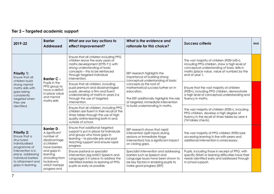| Tier 2 – Targeted academic support |  |  |
|------------------------------------|--|--|
|------------------------------------|--|--|

| 2019-22                                                                                                                                                                                         | <b>Barrier</b><br><b>Addressed</b>                                                                                                                                                        | What are our key actions to<br>effect improvement?                                                                                                                                                                                   | What is the evidence and<br>rationale for this choice?                                                                                                                                                                                                                                                  | <b>Success criteria</b>                                                                                                                                                                                   | <b>RAG</b> |
|-------------------------------------------------------------------------------------------------------------------------------------------------------------------------------------------------|-------------------------------------------------------------------------------------------------------------------------------------------------------------------------------------------|--------------------------------------------------------------------------------------------------------------------------------------------------------------------------------------------------------------------------------------|---------------------------------------------------------------------------------------------------------------------------------------------------------------------------------------------------------------------------------------------------------------------------------------------------------|-----------------------------------------------------------------------------------------------------------------------------------------------------------------------------------------------------------|------------|
| <b>Priority 1:</b><br>Ensure that all<br>children build<br>strong mental<br>maths skills with<br>gaps being<br>consistently<br>targeted when<br>they are<br>identified.                         | <b>Barrier C -</b><br>Pupils in the<br>PPG group to<br>have a deficit<br>in place value<br>and mental<br>maths skills                                                                     | Ensure that all children including PPG<br>children leave the early years of<br>maths development (EYFS-Y1) with<br>strong understanding of basic<br>concepts - this to be reinforced<br>through targeted individual<br>intervention. | EEF research highlights the<br>importance of building strong<br>conceptual understanding of basic<br>concepts as the root of<br>mathematical success further on in<br>education.<br>The EEF additionally highlights the role<br>of targeted, immediate intervention<br>to build understanding in maths. | The vast majority of children (95%+)s%+),<br>including PPG children, show a high level of<br>conceptual understanding of basic skills in<br>maths (place value, value of number) by the<br>end of year 1. |            |
|                                                                                                                                                                                                 |                                                                                                                                                                                           | Ensure that all children, including<br>pupil premium and disadvantaged<br>pupils, develop a firm and fluent<br>understanding of maths in years 2-6<br>through the use of targeted<br>intervention.                                   |                                                                                                                                                                                                                                                                                                         | Ensure that the vast majority of children<br>(95%+), including PPG children, demonstrate<br>a high level of conceptual understanding and<br>fluency in maths.                                             |            |
|                                                                                                                                                                                                 |                                                                                                                                                                                           | Ensure that all children, including PPG<br>children are fluent in their recall of the<br>times tables through the use of high<br>quality online learning both in and<br>outside of school.                                           |                                                                                                                                                                                                                                                                                                         | The vast majority of children (95%+), including<br>PPG children, develop a high degree of<br>fluency in the recall of times tables by year 4<br>(Y4 tables check).                                        |            |
| <b>Priority 2:</b><br>Ensure that a<br>structured<br>individualised<br>programme of<br>intervention is in<br>place, addressing<br>individual barriers<br>to attainment and<br>gaps in learning. | <b>Barrier D-</b><br>A significant<br>number of<br>disadvantage<br>d children<br>have barriers<br>and gaps in<br>learning<br>(including from<br>lockdown)<br>which hamper<br>progress and | Ensure that additional targeted<br>support is put in place for individuals<br>and groups who have gaps in<br>learning - to provide pre and post<br>teaching support and ensure rapid<br>progress.                                    | EEF research shows that rapid<br>intervention (split inputs during<br>sessions or immediate triage<br>intervention) has a significant impact<br>on closing gaps.                                                                                                                                        | The vast majority of PPG children (95%+)are<br>accessing learning in line with peers and<br>additional intervention is unnecessary.                                                                       |            |
|                                                                                                                                                                                                 |                                                                                                                                                                                           | Ensure pastoral or specialist<br>intervention (eg MAST/ Speech and<br>Language) is in place to address the<br>identified barriers to learning of PPG<br>pupils as early as possible.                                                 | Specialist intervention and addressing<br>barriers such as Speech and<br>Language issues have been shown to<br>be key factors in enabling pupils to<br>make good progress (EEF)                                                                                                                         | Pupils, including those in receipt of PPG, with<br>specific SEMH or learning difficulties have their<br>needs identified early and addressed through<br>in school support.                                |            |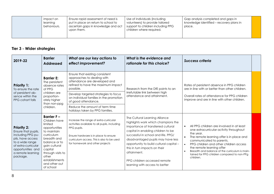| Ensure rapid assessment of need is<br>impact on<br>put in place on return to school to<br>learning<br>ascertain gaps in knowledge and act<br>behaviours.<br>upon them. | Use of individuals (including<br>volunteers) to provide tailored<br>support to children including PPG<br>children where required. | Gap analysis completed and gaps in<br>knowledge identified - recovery plans in<br>place. |  |
|------------------------------------------------------------------------------------------------------------------------------------------------------------------------|-----------------------------------------------------------------------------------------------------------------------------------|------------------------------------------------------------------------------------------|--|
|------------------------------------------------------------------------------------------------------------------------------------------------------------------------|-----------------------------------------------------------------------------------------------------------------------------------|------------------------------------------------------------------------------------------|--|

# **Tier 3 - Wider strategies**

| 2019-22                                                                                                                                                                             | <b>Barrier</b><br><b>Addressed</b>                                                                                                                                                                                                    | What are our key actions to<br>effect improvement?                                                                                                                                                                               | What is the evidence and<br>rationale for this choice?                                                                                                                                                                                                                                                                                                                                      | <b>Success criteria</b>                                                                                                                                                                                                                                                                                                                                                                                             |  |
|-------------------------------------------------------------------------------------------------------------------------------------------------------------------------------------|---------------------------------------------------------------------------------------------------------------------------------------------------------------------------------------------------------------------------------------|----------------------------------------------------------------------------------------------------------------------------------------------------------------------------------------------------------------------------------|---------------------------------------------------------------------------------------------------------------------------------------------------------------------------------------------------------------------------------------------------------------------------------------------------------------------------------------------------------------------------------------------|---------------------------------------------------------------------------------------------------------------------------------------------------------------------------------------------------------------------------------------------------------------------------------------------------------------------------------------------------------------------------------------------------------------------|--|
| <b>Priority 1:</b><br>To ensure the rate<br>of persistent ab-<br>sence within the<br>PPG cohort falls                                                                               | <b>Barrier E:</b><br>The persistent<br>absence rates<br>of PPG<br>children are<br>proportion-<br>ately higher<br>than non-ppg<br>children.                                                                                            | Ensure that existing consistent<br>approaches to dealing with<br>attendance are developed and<br>refined to have the maximum impact<br>possible.                                                                                 | Research from the DfE points to an                                                                                                                                                                                                                                                                                                                                                          | Rates of persistent absence in PPG children<br>are in line with or better than other children.                                                                                                                                                                                                                                                                                                                      |  |
|                                                                                                                                                                                     |                                                                                                                                                                                                                                       | Develop targeted strategies to focus<br>on individual families in the promotion<br>of good attendance.                                                                                                                           | irrefutable link between high<br>attendance and attainment.                                                                                                                                                                                                                                                                                                                                 | Overall rates of attendance for PPG children<br>improve and are in line with other children.                                                                                                                                                                                                                                                                                                                        |  |
|                                                                                                                                                                                     |                                                                                                                                                                                                                                       | Reduce the amount of term time<br>holidays taken by PPG families.                                                                                                                                                                |                                                                                                                                                                                                                                                                                                                                                                                             |                                                                                                                                                                                                                                                                                                                                                                                                                     |  |
| <b>Priority 2:</b><br>Ensure that pupils,<br>including PPG pu-<br>pils, have access<br>to a wide range<br>of extra-curricular<br>opportunities and<br>a remote learning<br>package. | <b>Barrier F-</b><br>Children have<br>limited<br>opportunities<br>to maintain<br>curriculum<br>breadth and<br>balance or to<br>gain cultural<br>capital<br>through visits to<br>other<br>establishments<br>and other out<br>of school | Increase the range of extra-curricular<br>activities available to all pupils, including<br>PPG pupils.<br>Ensure hardware is in place to ensure<br>curriculum access. This is also to be used<br>for homework and other projects | The Cultural Learning Alliance<br>highlights work which champions the<br>importance of transferred cultural<br>capital in enabling children to be<br>successful in school and life. PPG/<br>disadvantaged pupils may have less<br>opportunity to build cultural capital -<br>this in turn impacts on their<br>attainment.<br>PPG children accessed remote<br>learning with access to better | All PPG children are involved in at least<br>$\bullet$<br>one extracurricular activity throughout<br>the year.<br>The remote learning offer is in place and<br>$\bullet$<br>communicated to parents.<br>PPG children and other children access<br>$\bullet$<br>the remote learning offer<br>Breadth and balance of the curriculum is main-<br>$\bullet$<br>tained for PPG children compared to non-PPg<br>children. |  |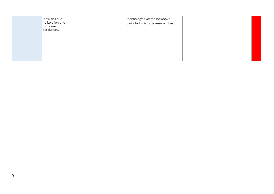| activities due<br>to isolation and<br>pandemic<br>restrictions. | technology over the lockdown<br>period. - this is to be re-subscribed. |  |
|-----------------------------------------------------------------|------------------------------------------------------------------------|--|
|                                                                 |                                                                        |  |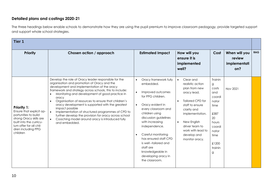### **Detailed plans and costings 2020-21**

The three headings below enable schools to demonstrate how they are using the pupil premium to improve classroom pedagogy, provide targeted support and support whole school strategies.

| Tier <sub>1</sub>                                                                                                                                                                         |                                                                                                                                                                                                                                                                                                                                                                                                                                                                                                                                                                                                       |                                                                                                                                                                                                                                                                                                                                                                                                |                                                                                                                                                                                                                                                                |                                                                                                                                    |                                                |            |
|-------------------------------------------------------------------------------------------------------------------------------------------------------------------------------------------|-------------------------------------------------------------------------------------------------------------------------------------------------------------------------------------------------------------------------------------------------------------------------------------------------------------------------------------------------------------------------------------------------------------------------------------------------------------------------------------------------------------------------------------------------------------------------------------------------------|------------------------------------------------------------------------------------------------------------------------------------------------------------------------------------------------------------------------------------------------------------------------------------------------------------------------------------------------------------------------------------------------|----------------------------------------------------------------------------------------------------------------------------------------------------------------------------------------------------------------------------------------------------------------|------------------------------------------------------------------------------------------------------------------------------------|------------------------------------------------|------------|
| <b>Priority</b>                                                                                                                                                                           | Chosen action / approach                                                                                                                                                                                                                                                                                                                                                                                                                                                                                                                                                                              | <b>Estimated Impact</b>                                                                                                                                                                                                                                                                                                                                                                        | How will you<br>ensure it is<br>implemented<br>well?                                                                                                                                                                                                           | Cost                                                                                                                               | When will you<br>review<br>implementati<br>on? | <b>RAG</b> |
| <b>Priority 1:</b><br>Ensure that explicit op-<br>portunities to build<br>strong Oracy skills are<br>built into the curricu-<br>lum offer for all chil-<br>dren including PPG<br>children | Develop the role of Oracy leader responsible for the<br>organisation and promotion of Oracy and the<br>development and implementation of the oracy<br>framework and strategy across schools, this to include:<br>Monitoring and development of good practice in<br>oracy<br>Organisation of resources to ensure that children's<br>oracy development is supported with the greatest<br>impact possible<br>Implementation of structured programmes of CPD to<br>further develop the provision for oracy across school<br>Coaching model around oracy is introduced fully<br>$\bullet$<br>and embedded. | Oracy framework fully<br>$\bullet$<br>embedded.<br>Improved outcomes<br>for PPG children.<br>Oracy evident in<br>$\bullet$<br>every classroom and<br>children using<br>discussion guidelines<br>with increasing<br>independence.<br>Careful monitoring<br>$\bullet$<br>has ensured staff CPD<br>is well-tailored and<br>staff are<br>knowledgeable in<br>developing oracy in<br>the classroom. | Clear and<br>realistic action<br>plan from new<br>oracy lead.<br><b>Tailored CPD for</b><br>$\bullet$<br>staff to ensure<br>clarity and<br>implementation.<br>New English<br>$\bullet$<br>driver team to<br>work with lead to<br>develop and<br>monitor oracy. | Trainin<br>g<br>costs<br>and<br>coordi<br>nator<br>time<br>£587<br>20<br>hours<br>coordi<br>nator<br>time<br>£1200<br>trainin<br>g | Nov 2021                                       |            |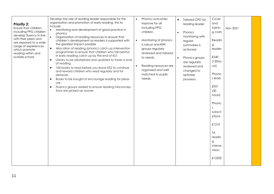| <b>Priority 2:</b><br>Ensure that children,<br>including PPG children<br>develop fluency in line<br>with their peers and<br>are exposed to a wide<br>range of experiences<br>which promote<br>reading within and<br>outside school. | Develop the role of reading leader responsible for the<br>organisation and promotion of early reading, this to<br>include:<br>Monitoring and development of good practice in<br>$\bullet$<br>phonics<br>Organisation of reading resources to ensure that<br>$\bullet$<br>children's development as readers is supported with<br>the greatest impact possible<br>Allocation of reading (phonic) catch up intervention<br>$\bullet$<br>programmes to ensure that children who fall behind<br>in early reading catch up by the end of KS1.<br>Library to be refurbished and updated to foster a love<br>$\bullet$<br>of reading.<br>100 books to read before you leave KS2 to continue<br>$\bullet$<br>and reward children who read regularly and for<br>pleasure.<br>Books to be bought to encourage reading for pleas-<br>$\bullet$<br>ure.<br>Fluency groups added to ensure reading misconcep-<br>$\bullet$<br>tions are picked up sooner. | Phonics outcomes<br>$\bullet$<br>improve for all<br>including PPG<br>children.<br>Monitoring of phonics<br>$\bullet$<br>is robust and RWI<br>groups regularly<br>reviewed and tailored<br>to needs.<br>Reading resources are<br>organised and well-<br>matched to pupils'<br>needs. | Tailored CPD for<br>$\bullet$<br>reading leader<br>Phonics<br>$\bullet$<br>monitoring with<br>regular<br>summaries is<br>actioned<br>Phonics groups<br>$\bullet$<br>are regularly<br>reviewed and<br>changed to<br>optimise<br>provision. | Cover<br>and<br>trainin<br>g costs<br>Readin<br>g<br>leader:<br>£540<br>(120ho)<br>U(s)<br>Phonic<br>s lead:<br>£921<br>(30)<br>hours)<br>Phonic<br><sub>S</sub><br>subscri<br>ptions<br>£1210<br><b>TA</b><br>readin<br>$\alpha$<br>interve<br>ntion:<br>£15200 | Nov 2021 |  |
|-------------------------------------------------------------------------------------------------------------------------------------------------------------------------------------------------------------------------------------|---------------------------------------------------------------------------------------------------------------------------------------------------------------------------------------------------------------------------------------------------------------------------------------------------------------------------------------------------------------------------------------------------------------------------------------------------------------------------------------------------------------------------------------------------------------------------------------------------------------------------------------------------------------------------------------------------------------------------------------------------------------------------------------------------------------------------------------------------------------------------------------------------------------------------------------------|-------------------------------------------------------------------------------------------------------------------------------------------------------------------------------------------------------------------------------------------------------------------------------------|-------------------------------------------------------------------------------------------------------------------------------------------------------------------------------------------------------------------------------------------|------------------------------------------------------------------------------------------------------------------------------------------------------------------------------------------------------------------------------------------------------------------|----------|--|
|-------------------------------------------------------------------------------------------------------------------------------------------------------------------------------------------------------------------------------------|---------------------------------------------------------------------------------------------------------------------------------------------------------------------------------------------------------------------------------------------------------------------------------------------------------------------------------------------------------------------------------------------------------------------------------------------------------------------------------------------------------------------------------------------------------------------------------------------------------------------------------------------------------------------------------------------------------------------------------------------------------------------------------------------------------------------------------------------------------------------------------------------------------------------------------------------|-------------------------------------------------------------------------------------------------------------------------------------------------------------------------------------------------------------------------------------------------------------------------------------|-------------------------------------------------------------------------------------------------------------------------------------------------------------------------------------------------------------------------------------------|------------------------------------------------------------------------------------------------------------------------------------------------------------------------------------------------------------------------------------------------------------------|----------|--|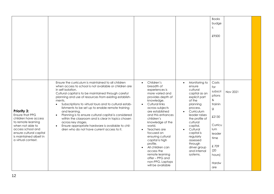|                                                                                                                                                                                                          |                                                                                                                                                                                                                                                                                                                                                                                                                                                                                                                                                                                                                                                                |                                                                                                                                                                                                                                                                                                                                                                                                                                                                                  |                                                                                                                                                                                                                                                                                                                      | <b>Books</b><br>budge<br>t:<br>£9500                                                                                                             |          |
|----------------------------------------------------------------------------------------------------------------------------------------------------------------------------------------------------------|----------------------------------------------------------------------------------------------------------------------------------------------------------------------------------------------------------------------------------------------------------------------------------------------------------------------------------------------------------------------------------------------------------------------------------------------------------------------------------------------------------------------------------------------------------------------------------------------------------------------------------------------------------------|----------------------------------------------------------------------------------------------------------------------------------------------------------------------------------------------------------------------------------------------------------------------------------------------------------------------------------------------------------------------------------------------------------------------------------------------------------------------------------|----------------------------------------------------------------------------------------------------------------------------------------------------------------------------------------------------------------------------------------------------------------------------------------------------------------------|--------------------------------------------------------------------------------------------------------------------------------------------------|----------|
| <b>Priority 3:</b><br>Ensure that PPG<br>children have access<br>to remote learning<br>when not able to<br>access school and<br>ensure cultural capital<br>is maintained albeit in<br>a virtual context. | Ensure the curriculum is maintained to all children<br>when access to school is not available or children are<br>in self-isolation.<br>Cultural capital is to be maintained through careful<br>planning and use of resources from existing establish-<br>ments.<br>Subscriptions to virtual tours and to cultural estab-<br>$\bullet$<br>lishments to be set up to enable remote training<br>and learning.<br>Planning is to ensure cultural capital is considered<br>within the classroom and is clear in topics chosen<br>across key stages.<br>Ensure appropriate hardware is available to chil-<br>$\bullet$<br>dren who do not have current access to it. | Children's<br>$\bullet$<br>breadth of<br>experiences is<br>more varied and<br>provides depth of<br>knowledge.<br>Cultural links<br>$\bullet$<br>across subjects<br>are established<br>and this enhances<br>children's<br>knowledge of the<br>world.<br>Teachers are<br>$\bullet$<br>focused on<br>ensuring cultural<br>capital is high<br>profile.<br>All children can<br>$\bullet$<br>access the<br>remote learning<br>offer - PPG and<br>non-PPG. Laptops<br>will be available | Monitoring to<br>$\bullet$<br>ensure<br>cultural<br>capital as an<br>explicit part<br>of the<br>planning<br>process.<br>Curriculum<br>leader raises<br>the profile of<br>cultural<br>capital.<br>Cultural<br>$\bullet$<br>capital is<br>regularly<br>assessed<br>through<br>driver group<br>and internal<br>systems. | Costs<br>for<br>subscri<br>ptions<br>$\&$<br>trainin<br>g<br>£2130<br>Curricu<br>lum<br>leader<br>time<br>£709<br>(20)<br>hours)<br>Hardw<br>are | Nov 2021 |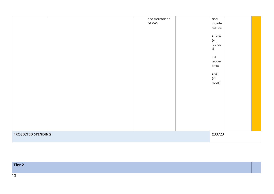|                           | and maintained<br>for use. | and<br>mainte<br>nance:<br>£1285<br>(4)<br>laptop<br>s)<br>$\sf{ICT}$<br>leader<br>time:<br>£638<br>(20)<br>hours) |
|---------------------------|----------------------------|--------------------------------------------------------------------------------------------------------------------|
| <b>PROJECTED SPENDING</b> |                            | £33920                                                                                                             |

| Tier 2            |  |
|-------------------|--|
| $\sqrt{2}$<br>ט ו |  |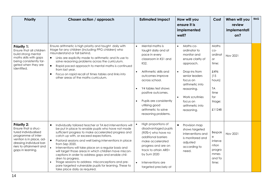| <b>Priority</b>                                                                                                                                                                            | Chosen action / approach                                                                                                                                                                                                                                                                                                                                                                                                                                                                                                                                                                                                                                                | <b>Estimated Impact</b>                                                                                                                                                                                                                                                                                                   | How will you<br>ensure it is<br>implemented<br>well?                                                                                                                                                                                    | Cost                                                                                                                       | When will you<br>review<br>implementati<br>on? | <b>RAG</b> |
|--------------------------------------------------------------------------------------------------------------------------------------------------------------------------------------------|-------------------------------------------------------------------------------------------------------------------------------------------------------------------------------------------------------------------------------------------------------------------------------------------------------------------------------------------------------------------------------------------------------------------------------------------------------------------------------------------------------------------------------------------------------------------------------------------------------------------------------------------------------------------------|---------------------------------------------------------------------------------------------------------------------------------------------------------------------------------------------------------------------------------------------------------------------------------------------------------------------------|-----------------------------------------------------------------------------------------------------------------------------------------------------------------------------------------------------------------------------------------|----------------------------------------------------------------------------------------------------------------------------|------------------------------------------------|------------|
| <b>Priority 1:</b><br>Ensure that all children<br>build strong mental<br>maths skills with gaps<br>being consistently tar-<br>geted when they are<br>identified.                           | Ensure arithmetic is high priority and taught daily with<br>triage for any children (including PPG children) who<br>misunderstand or fall behind.<br>Links are explicitly made to arithmetic and its use to<br>$\bullet$<br>solve reasoning problems across the curriculum.<br>$\bullet$<br>Rapid paced approach to mental maths is continued<br>from last year.<br>Focus on rapid recall of times tables and links into<br>$\bullet$<br>other areas of the maths curriculum.                                                                                                                                                                                           | Mental maths is<br>$\bullet$<br>taught daily and at<br>pace in every<br>classroom in KS1 and<br>KS2.<br>Arithmetic skills and<br>$\bullet$<br>outcomes improve<br>across school.<br>Y4 tables test shows<br>positive outcomes.<br>Pupils are consistently<br>utilising good<br>arithmetic to solve<br>reasoning problems. | Maths co-<br>$\bullet$<br>ordinator to<br>monitor and<br>ensure clarity of<br>approach.<br>Drop-ins from<br>senior leaders<br>focus on<br>arithmetic into<br>reasoning.<br>Work scrutinies<br>focus on<br>arithmetic into<br>reasoning. | Maths<br>$CO-$<br>ordinat<br><b>or</b><br>time:<br>£496<br>(15)<br>hours)<br><b>TA</b><br>time<br>for<br>triage:<br>£11248 | Nov 2021                                       |            |
| Priority 2:<br>Ensure that a struc-<br>tured individualised<br>programme of inter-<br>vention is in place, ad-<br>dressing individual bar-<br>riers to attainment and<br>gaps in learning. | $\bullet$<br>Individually tailored teacher or TA led interventions will<br>be put in place to enable pupils who have not made<br>sufficient progress to make accelerated progress and<br>catch up with, or exceed expectations.<br>Pastoral sessions and well being interventions in place<br>from Sep 2020.<br>Interventions will take place on a regular basis and<br>will target those areas in which children have miscon-<br>ceptions in order to address gaps and enable chil-<br>dren to progress.<br>Triage sessions to address misconceptions and pre-<br>$\bullet$<br>pare targeted vulnerable pupils for learning. These to<br>take place daily as required. | High proportions of<br>disadvantaged pupils<br>(90%+) who have no<br>additional barriers<br>make accelerated<br>progress and are on<br>track to attain ARE+<br>by Sum 2020<br>Interventions are<br>$\bullet$<br>targeted precisely at                                                                                     | Provision map<br>$\bullet$<br>shows targeted<br>interventions and<br>is monitored and<br>adjusted<br>according to<br>need.                                                                                                              | <b>Bespok</b><br>е<br>interve<br>ntion<br>progra<br>mmes<br>and Ta<br>time:                                                | Nov 2021                                       |            |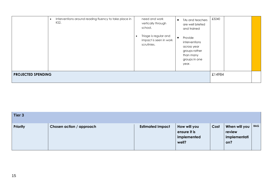|                           | Interventions around reading fluency to take place in<br>KS2. | need and work<br>vertically through<br>school.<br>Triage is regular and<br>$\bullet$<br>impact is seen in work<br>scrutinies. | TAs and teachers<br>$\bullet$<br>are well briefed<br>and trained<br>Provide<br>$\bullet$<br>interventions<br>across year<br>groups rather<br>than many<br>groups in one<br>year. | £3240 |  |
|---------------------------|---------------------------------------------------------------|-------------------------------------------------------------------------------------------------------------------------------|----------------------------------------------------------------------------------------------------------------------------------------------------------------------------------|-------|--|
| <b>PROJECTED SPENDING</b> | £14984                                                        |                                                                                                                               |                                                                                                                                                                                  |       |  |

| Tier 3          |                          |                         |                                                      |      |                                                |            |
|-----------------|--------------------------|-------------------------|------------------------------------------------------|------|------------------------------------------------|------------|
| <b>Priority</b> | Chosen action / approach | <b>Estimated Impact</b> | How will you<br>ensure it is<br>implemented<br>well? | Cost | When will you<br>review<br>implementati<br>on? | <b>RAG</b> |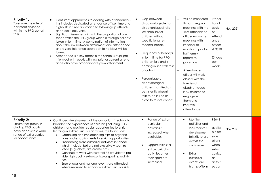| <b>Priority 1:</b><br>To ensure the rate of<br>persistent absence<br>within the PPG cohort<br>falls                                           | Consistent approaches to dealing with attendance -<br>$\bullet$<br>this includes dedicated attendance officer time and<br>highly structured approach to following up attend-<br>ance (text, call, visit).<br>Significant issues remain with the proportion of ab-<br>$\bullet$<br>sence within the PPG group which is through holidays<br>taken in term time. A combination of information<br>about the link between attainment and attendance<br>and a zero-tolerance approach to holidays will be<br>taken.<br>Attendance is a key factor in the school's pupil pre-<br>$\bullet$<br>mium cohort - pupils with low prior or current attend-<br>ance also have proportionately low attainment.                                   | Gap between<br>$\bullet$<br>disadvantaged - non<br>disadvantaged falls -<br>less than 1% for<br>children without<br>specific long-term<br>medical needs.<br>Frequency of holidays<br>$\bullet$<br>in term time for PPG<br>children falls and is<br>coming in line with rest<br>of cohort.<br>Percentage of<br>$\bullet$<br>disadvantaged<br>children classified as<br>persistently absent<br>falls to be in line or<br>close to rest of cohort. | Will be monitored<br>$\bullet$<br>through regular<br>meetings with the<br>Trust attendance<br>officer - monthly<br>meetings with<br>Principal to<br>monitor impact -<br>half termly<br>reports to<br>governors<br>Attendance<br>$\bullet$<br>officer will work<br>closely with the<br>families of<br>disadvantaged<br>PPG children to<br>engage with<br>them and<br>improve<br>attendance | Propor<br>tional<br>costs<br>of<br>Attend<br>ance<br>officer<br>$-£3940$<br>(5hours<br>per<br>week)      | Nov 2021 |  |
|-----------------------------------------------------------------------------------------------------------------------------------------------|-----------------------------------------------------------------------------------------------------------------------------------------------------------------------------------------------------------------------------------------------------------------------------------------------------------------------------------------------------------------------------------------------------------------------------------------------------------------------------------------------------------------------------------------------------------------------------------------------------------------------------------------------------------------------------------------------------------------------------------|-------------------------------------------------------------------------------------------------------------------------------------------------------------------------------------------------------------------------------------------------------------------------------------------------------------------------------------------------------------------------------------------------------------------------------------------------|-------------------------------------------------------------------------------------------------------------------------------------------------------------------------------------------------------------------------------------------------------------------------------------------------------------------------------------------------------------------------------------------|----------------------------------------------------------------------------------------------------------|----------|--|
| <b>Priority 2:</b><br>Ensure that pupils, in-<br>cluding PPG pupils,<br>have access to a wide<br>range of extra-curricu-<br>lar opportunities | • Continued development of the curriculum in school to<br>broaden the experiences of children (including PPG<br>children) and provide regular opportunities to enrich<br>learning in extra-curricular activities, this to include:<br>Organising and implementing trips to organisa-<br>$\bullet$<br>tions and establishments to enrich opportunities.<br>Broadening extra-curricular activities in school<br>which include, but are not exclusively sport re-<br>lated (e.g -chess, art, drama etc)<br>Continue to work with external PE provider to pro-<br>vide high quality extra-curricular sporting activi-<br>ties.<br>Ensure local and national events are attended<br>where required to enhance extra-curricular skills. | Range of extra-<br>$\bullet$<br>curricular<br>activities is<br>increased when<br>available.<br>Opportunities for<br>extra-curricular<br>activities other<br>than sport are<br>increased.                                                                                                                                                                                                                                                        | Monitor<br>$\bullet$<br>activities and<br>look for inter-<br>developmen<br>tal skills to use<br>across the<br>curriculum.<br>Extra-<br>curricular<br>events are<br>high profile in                                                                                                                                                                                                        | £3646<br>availa<br>ble for<br>subscri<br>ptions<br>when<br>extra<br>curricul<br>ar<br>activiti<br>es can | Nov 2021 |  |